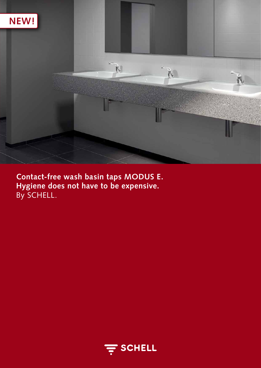

**Contact-free wash basin taps MODUS E. Hygiene does not have to be expensive.** By SCHELL.

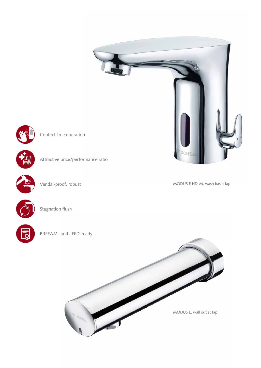



Contact-free operation



Vandal-proof, robust

MODUS E HD-M, wash basin tap





Stagnation flush

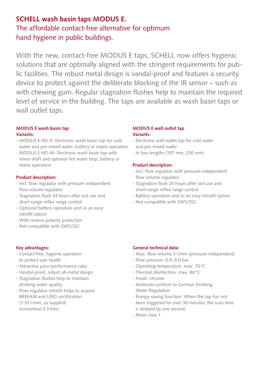# **SCHELL wash basin taps MODUS E.** The affordable contact-free alternative for optimum hand hygiene in public buildings.

With the new, contact-free MODUS E taps, SCHELL now offers hygienic solutions that are optimally aligned with the stringent requirements for public facilities. The robust metal design is vandal-proof and features a security device to protect against the deliberate blocking of the IR sensor – such as with chewing gum. Regular stagnation flushes help to maintain the required level of service in the building. The taps are available as wash basin taps or wall outlet taps.

## **MODUS E wash basin tap Variants:**

- MODUS E HD-K: Electronic wash basin tap for cold water and pre-mixed water, battery or mains operation
- MODUS E HD-M: Electronic wash basin tap with mixer shaft and optional hot water stop, battery or mains operation

## **Product description:**

- Incl. flow regulator with pressure-independent flow volume regulator
- Stagnation flush 24 hours after last use and short-range reflex range control
- Optional battery operation and so an easy retrofit option
- With reverse polarity protection
- Not compatible with SWS/SSC

## **Key advantages:**

- Contact-free, hygienic operation to protect user health
- Attractive price/performance ratio
- Vandal-proof, robust all-metal design
- Stagnation flushes help to maintain drinking water quality
- Flow regulator retrofit helps to acquire BREEAM and LEED certification (1.33 l/min; as supplied:

economical 3 l/min)

## **MODUS E wall outlet tap Variants:**

- Electronic wall outlet tap for cold water and pre-mixed water
- In two lengths (187 mm, 230 mm)

## **Product description:**

- Incl. flow regulator with pressure-independent flow volume regulator
- Stagnation flush 24 hours after last use and short-range reflex range control
- Battery operation and so an easy retrofit option
- Not compatible with SWS/SSC

## **General technical data:**

- Max. flow volume 3 l/min (pressure-independent)
- Flow pressure: 0.5–5.0 bar
- Operating temperature: max. 70°C
- Thermal disinfection: max. 80°C
- Finish: chrome
- Materials conform to German Drinking Water Regulation
- Energy-saving function: When the tap has not been triggered for over 30 minutes, the scan time is delayed by one second.
- Noise class 1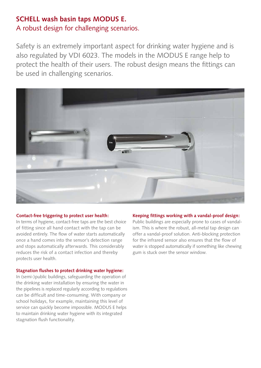## **SCHELL wash basin taps MODUS E.** A robust design for challenging scenarios.

Safety is an extremely important aspect for drinking water hygiene and is also regulated by VDI 6023. The models in the MODUS E range help to protect the health of their users. The robust design means the fittings can be used in challenging scenarios.



### **Contact-free triggering to protect user health:**

In terms of hygiene, contact-free taps are the best choice of fitting since all hand contact with the tap can be avoided entirely. The flow of water starts automatically once a hand comes into the sensor's detection range and stops automatically afterwards. This considerably reduces the risk of a contact infection and thereby protects user health.

### **Stagnation flushes to protect drinking water hygiene:**

In (semi-)public buildings, safeguarding the operation of the drinking water installation by ensuring the water in the pipelines is replaced regularly according to regulations can be difficult and time-consuming. With company or school holidays, for example, maintaining this level of service can quickly become impossible. MODUS E helps to maintain drinking water hygiene with its integrated stagnation flush functionality.

### **Keeping fittings working with a vandal-proof design:**

Public buildings are especially prone to cases of vandalism. This is where the robust, all-metal tap design can offer a vandal-proof solution. Anti-blocking protection for the infrared sensor also ensures that the flow of water is stopped automatically if something like chewing gum is stuck over the sensor window.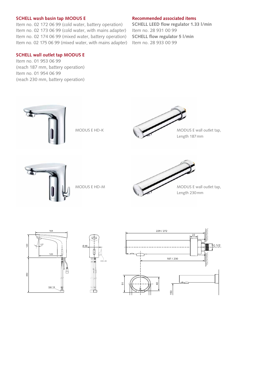### **SCHELL wash basin tap MODUS E**

Item no. 02 172 06 99 (cold water, battery operation) Item no. 02 173 06 99 (cold water, with mains adapter) Item no. 02 174 06 99 (mixed water, battery operation) Item no. 02 175 06 99 (mixed water, with mains adapter)

### **SCHELL wall outlet tap MODUS E**

Item no. 01 953 06 99 (reach 187 mm, battery operation) Item no. 01 954 06 99 (reach 230 mm, battery operation)

#### **Recommended associated items**

**SCHELL LEED flow regulator 1.33 l/min** Item no. 28 931 00 99 **SCHELL flow regulator 5 l/min** Item no. 28 933 00 99